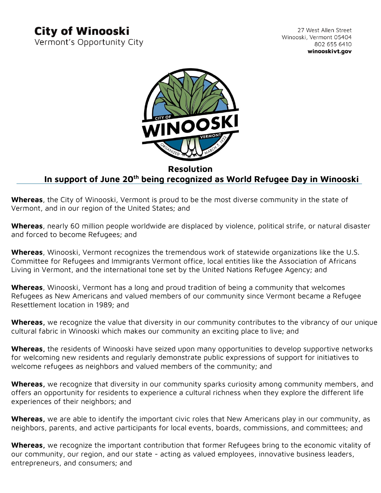## **City of Winooski**

Vermont's Opportunity City

27 West Allen Street Winooski, Vermont 05404 802 655 6410 winooskivt.gov



## **Resolution In support of June 20th being recognized as World Refugee Day in Winooski**

**Whereas**, the City of Winooski, Vermont is proud to be the most diverse community in the state of Vermont, and in our region of the United States; and

**Whereas**, nearly 60 million people worldwide are displaced by violence, political strife, or natural disaster and forced to become Refugees; and

**Whereas**, Winooski, Vermont recognizes the tremendous work of statewide organizations like the U.S. Committee for Refugees and Immigrants Vermont office, local entities like the Association of Africans Living in Vermont, and the international tone set by the United Nations Refugee Agency; and

**Whereas**, Winooski, Vermont has a long and proud tradition of being a community that welcomes Refugees as New Americans and valued members of our community since Vermont became a Refugee Resettlement location in 1989; and

**Whereas,** we recognize the value that diversity in our community contributes to the vibrancy of our unique cultural fabric in Winooski which makes our community an exciting place to live; and

**Whereas,** the residents of Winooski have seized upon many opportunities to develop supportive networks for welcoming new residents and regularly demonstrate public expressions of support for initiatives to welcome refugees as neighbors and valued members of the community; and

**Whereas,** we recognize that diversity in our community sparks curiosity among community members, and offers an opportunity for residents to experience a cultural richness when they explore the different life experiences of their neighbors; and

**Whereas,** we are able to identify the important civic roles that New Americans play in our community, as neighbors, parents, and active participants for local events, boards, commissions, and committees; and

**Whereas,** we recognize the important contribution that former Refugees bring to the economic vitality of our community, our region, and our state - acting as valued employees, innovative business leaders, entrepreneurs, and consumers; and